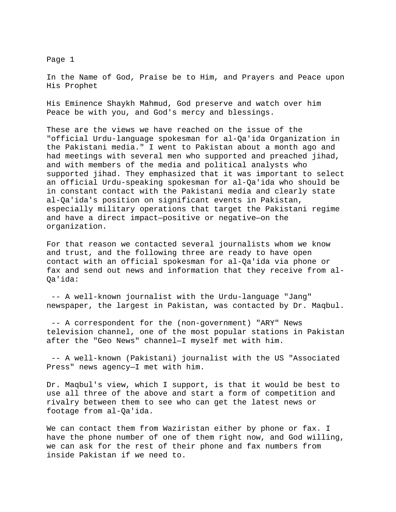Page 1

In the Name of God, Praise be to Him, and Prayers and Peace upon His Prophet

His Eminence Shaykh Mahmud, God preserve and watch over him Peace be with you, and God's mercy and blessings.

These are the views we have reached on the issue of the "official Urdu-language spokesman for al-Qa'ida Organization in the Pakistani media." I went to Pakistan about a month ago and had meetings with several men who supported and preached jihad, and with members of the media and political analysts who supported jihad. They emphasized that it was important to select an official Urdu-speaking spokesman for al-Qa'ida who should be in constant contact with the Pakistani media and clearly state al-Qa'ida's position on significant events in Pakistan, especially military operations that target the Pakistani regime and have a direct impact—positive or negative—on the organization.

For that reason we contacted several journalists whom we know and trust, and the following three are ready to have open contact with an official spokesman for al-Qa'ida via phone or fax and send out news and information that they receive from al-Qa'ida:

 -- A well-known journalist with the Urdu-language "Jang" newspaper, the largest in Pakistan, was contacted by Dr. Maqbul.

 -- A correspondent for the (non-government) "ARY" News television channel, one of the most popular stations in Pakistan after the "Geo News" channel—I myself met with him.

 -- A well-known (Pakistani) journalist with the US "Associated Press" news agency—I met with him.

Dr. Maqbul's view, which I support, is that it would be best to use all three of the above and start a form of competition and rivalry between them to see who can get the latest news or footage from al-Qa'ida.

We can contact them from Waziristan either by phone or fax. I have the phone number of one of them right now, and God willing, we can ask for the rest of their phone and fax numbers from inside Pakistan if we need to.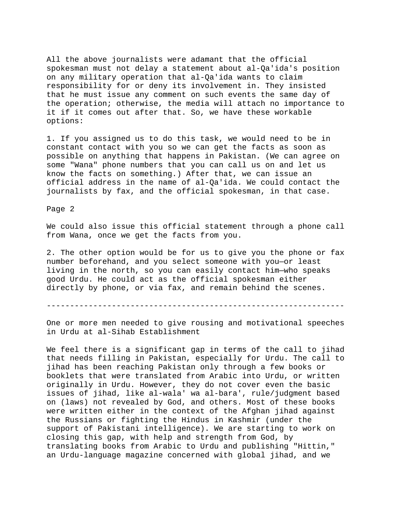All the above journalists were adamant that the official spokesman must not delay a statement about al-Qa'ida's position on any military operation that al-Qa'ida wants to claim responsibility for or deny its involvement in. They insisted that he must issue any comment on such events the same day of the operation; otherwise, the media will attach no importance to it if it comes out after that. So, we have these workable options:

1. If you assigned us to do this task, we would need to be in constant contact with you so we can get the facts as soon as possible on anything that happens in Pakistan. (We can agree on some "Wana" phone numbers that you can call us on and let us know the facts on something.) After that, we can issue an official address in the name of al-Qa'ida. We could contact the journalists by fax, and the official spokesman, in that case.

Page 2

We could also issue this official statement through a phone call from Wana, once we get the facts from you.

2. The other option would be for us to give you the phone or fax number beforehand, and you select someone with you—or least living in the north, so you can easily contact him—who speaks good Urdu. He could act as the official spokesman either directly by phone, or via fax, and remain behind the scenes.

----------------------------------------------------------------

One or more men needed to give rousing and motivational speeches in Urdu at al-Sihab Establishment

We feel there is a significant gap in terms of the call to jihad that needs filling in Pakistan, especially for Urdu. The call to jihad has been reaching Pakistan only through a few books or booklets that were translated from Arabic into Urdu, or written originally in Urdu. However, they do not cover even the basic issues of jihad, like al-wala' wa al-bara', rule/judgment based on (laws) not revealed by God, and others. Most of these books were written either in the context of the Afghan jihad against the Russians or fighting the Hindus in Kashmir (under the support of Pakistani intelligence). We are starting to work on closing this gap, with help and strength from God, by translating books from Arabic to Urdu and publishing "Hittin," an Urdu-language magazine concerned with global jihad, and we